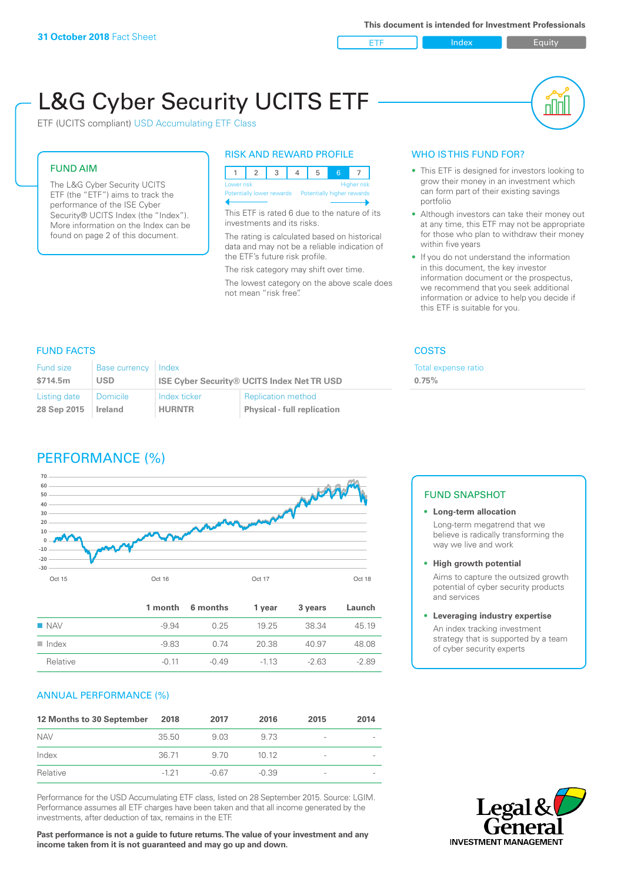ETF Index Buity

nl M

# L&G Cyber Security UCITS ETF

ETF (UCITS compliant) USD Accumulating ETF Class

# FUND AIM

The L&G Cyber Security UCITS ETF (the "ETF") aims to track the performance of the ISE Cyber Security® UCITS Index (the "Index"). More information on the Index can be found on page 2 of this document.

# RISK AND REWARD PROFILE

| Lower risk |  |  |                                                      |  | Higher risk |  |  |
|------------|--|--|------------------------------------------------------|--|-------------|--|--|
|            |  |  | Potentially lower rewards Potentially higher rewards |  |             |  |  |
|            |  |  |                                                      |  |             |  |  |

This ETF is rated 6 due to the nature of its investments and its risks.

The rating is calculated based on historical data and may not be a reliable indication of the ETF's future risk profile.

The risk category may shift over time. The lowest category on the above scale does not mean "risk free".

# WHO IS THIS FUND FOR?

- This ETF is designed for investors looking to grow their money in an investment which can form part of their existing savings portfolio
- Although investors can take their money out at any time, this ETF may not be appropriate for those who plan to withdraw their money within five years
- If you do not understand the information in this document, the key investor information document or the prospectus, we recommend that you seek additional information or advice to help you decide if this ETF is suitable for you.

Total expense ratio

**0.75%**

# FUND FACTS COSTS

| Fund size    | Base currency | <b>Index</b>                                      |                                    |  |
|--------------|---------------|---------------------------------------------------|------------------------------------|--|
| \$714.5m     | USD           | <b>ISE Cyber Security® UCITS Index Net TR USD</b> |                                    |  |
| Listing date | Domicile      | Index ticker                                      | <b>Replication method</b>          |  |
| 28 Sep 2015  | Ireland       | <b>HURNTR</b>                                     | <b>Physical - full replication</b> |  |

# PERFORMANCE (%)



|                      |         | 1 month 6 months | 1 vear | 3 years | Launch  |
|----------------------|---------|------------------|--------|---------|---------|
| $\blacksquare$ NAV   | $-9.94$ | 0.25             | 19 25  | 38.34   | 45.19   |
| $\blacksquare$ Index | $-983$  | O 74             | 20.38  | 40.97   | 48.08   |
| Relative             | -0.11   | $-0.49$          | $-113$ | $-263$  | $-2.89$ |

# ANNUAL PERFORMANCE (%)

| 12 Months to 30 September | 2018   | 2017    | 2016    | 2015                     | 2014 |
|---------------------------|--------|---------|---------|--------------------------|------|
| <b>NAV</b>                | 35.50  | 9.03    | 9.73    | $\overline{\phantom{a}}$ |      |
| Index                     | 36.71  | 9.70    | 1012    | -                        |      |
| Relative                  | $-121$ | $-0.67$ | $-0.39$ | -                        |      |

Performance for the USD Accumulating ETF class, listed on 28 September 2015. Source: LGIM. Performance assumes all ETF charges have been taken and that all income generated by the investments, after deduction of tax, remains in the ETF.

**Past performance is not a guide to future returns. The value of your investment and any income taken from it is not guaranteed and may go up and down.**

# FUND SNAPSHOT

- **• Long-term allocation** Long-term megatrend that we believe is radically transforming the way we live and work
- **• High growth potential**

Aims to capture the outsized growth potential of cyber security products and services

#### **• Leveraging industry expertise**

An index tracking investment strategy that is supported by a team of cyber security experts

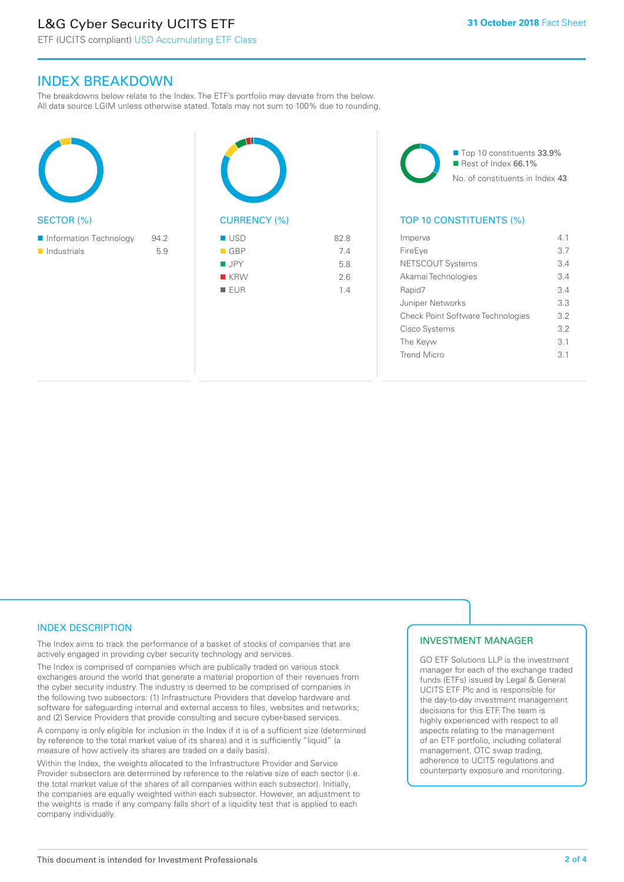# L&G Cyber Security UCITS ETF

# INDEX BREAKDOWN

The breakdowns below relate to the Index. The ETF's portfolio may deviate from the below. All data source LGIM unless otherwise stated. Totals may not sum to 100% due to rounding.

| 94.2 |  |
|------|--|
| 5.9  |  |
|      |  |
|      |  |
|      |  |
|      |  |



| <b>USD</b>         | 82.8 |
|--------------------|------|
| $\blacksquare$ GBP | 7.4  |
| $\blacksquare$ JPY | 5.8  |
| $K$ KRW            | 2.6  |
| $\blacksquare$ EUR | 1.4  |

■ Top 10 constituents 33.9% Rest of Index 66.1% No. of constituents in Index 43

# TOP 10 CONSTITUENTS (%)

| Imperva  |                                          | 41  |
|----------|------------------------------------------|-----|
| FireEye  |                                          | 3.7 |
|          | <b>NETSCOUT Systems</b>                  | 3.4 |
|          | Akamai Technologies                      | 34  |
| Rapid7   |                                          | 34  |
|          | Juniper Networks                         | 3.3 |
|          | <b>Check Point Software Technologies</b> | 3.2 |
|          | Cisco Systems                            | 32  |
| The Keyw |                                          | 3.1 |
|          | Trend Micro                              | 31  |
|          |                                          |     |

# INDEX DESCRIPTION

The Index aims to track the performance of a basket of stocks of companies that are actively engaged in providing cyber security technology and services.

The Index is comprised of companies which are publically traded on various stock exchanges around the world that generate a material proportion of their revenues from the cyber security industry. The industry is deemed to be comprised of companies in the following two subsectors: (1) Infrastructure Providers that develop hardware and software for safeguarding internal and external access to files, websites and networks; and (2) Service Providers that provide consulting and secure cyber-based services.

A company is only eligible for inclusion in the Index if it is of a sufficient size (determined by reference to the total market value of its shares) and it is sufficiently "liquid" (a measure of how actively its shares are traded on a daily basis).

Within the Index, the weights allocated to the Infrastructure Provider and Service Provider subsectors are determined by reference to the relative size of each sector (i.e. the total market value of the shares of all companies within each subsector). Initially, the companies are equally weighted within each subsector. However, an adjustment to the weights is made if any company falls short of a liquidity test that is applied to each company individually.

# INVESTMENT MANAGER

GO ETF Solutions LLP is the investment manager for each of the exchange traded funds (ETFs) issued by Legal & General UCITS ETF Plc and is responsible for the day-to-day investment management decisions for this ETF. The team is highly experienced with respect to all aspects relating to the management of an ETF portfolio, including collateral management, OTC swap trading, adherence to UCITS regulations and counterparty exposure and monitoring.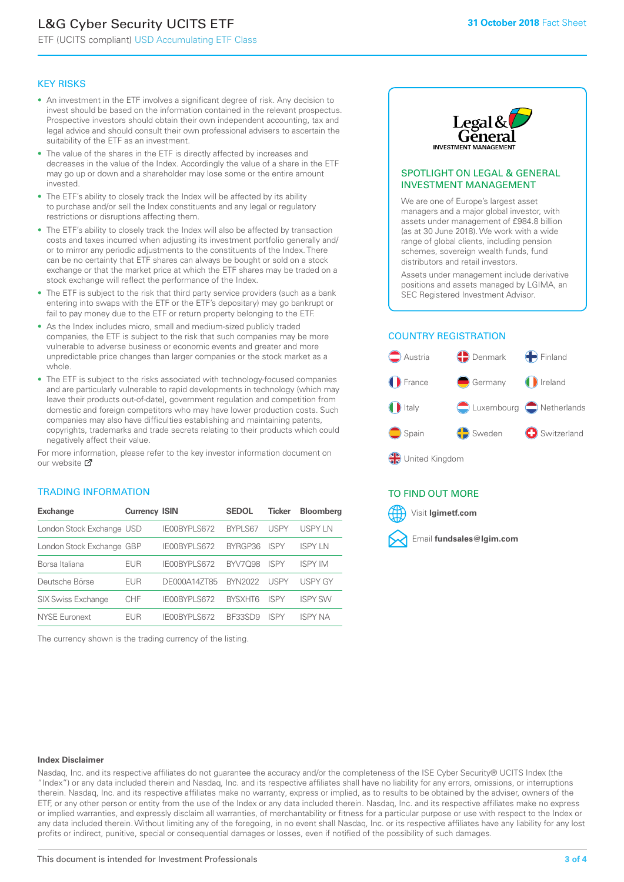# L&G Cyber Security UCITS ETF

ETF (UCITS compliant) USD Accumulating ETF Class

#### KEY RISKS

- An investment in the ETF involves a significant degree of risk. Any decision to invest should be based on the information contained in the relevant prospectus. Prospective investors should obtain their own independent accounting, tax and legal advice and should consult their own professional advisers to ascertain the suitability of the ETF as an investment.
- The value of the shares in the ETF is directly affected by increases and decreases in the value of the Index. Accordingly the value of a share in the ETF may go up or down and a shareholder may lose some or the entire amount invested.
- The ETF's ability to closely track the Index will be affected by its ability to purchase and/or sell the Index constituents and any legal or regulatory restrictions or disruptions affecting them.
- The ETF's ability to closely track the Index will also be affected by transaction costs and taxes incurred when adjusting its investment portfolio generally and/ or to mirror any periodic adjustments to the constituents of the Index. There can be no certainty that ETF shares can always be bought or sold on a stock exchange or that the market price at which the ETF shares may be traded on a stock exchange will reflect the performance of the Index.
- The ETF is subject to the risk that third party service providers (such as a bank entering into swaps with the ETF or the ETF's depositary) may go bankrupt or fail to pay money due to the ETF or return property belonging to the ETF.
- As the Index includes micro, small and medium-sized publicly traded companies, the ETF is subject to the risk that such companies may be more vulnerable to adverse business or economic events and greater and more unpredictable price changes than larger companies or the stock market as a whole.
- The ETF is subject to the risks associated with technology-focused companies and are particularly vulnerable to rapid developments in technology (which may leave their products out-of-date), government regulation and competition from domestic and foreign competitors who may have lower production costs. Such companies may also have difficulties establishing and maintaining patents, copyrights, trademarks and trade secrets relating to their products which could negatively affect their value.

For more in[form](https://www.lgimetf.com/)ation, please refer to the key investor information document on our website M

# TRADING INFORMATION

| <b>Exchange</b>           | <b>Currency ISIN</b> |                     | <b>SEDOL</b>   | <b>Ticker</b> | <b>Bloomberg</b> |
|---------------------------|----------------------|---------------------|----------------|---------------|------------------|
| London Stock Exchange USD |                      | IE00BYPLS672        | BYPLS67        | <b>USPY</b>   | USPY IN          |
| London Stock Exchange GBP |                      | IE00BYPLS672        | BYRGP36        | <b>ISPY</b>   | <b>ISPY IN</b>   |
| Borsa Italiana            | EUR                  | <b>IFOORYPLS672</b> | <b>BYV7098</b> | <b>ISPY</b>   | <b>ISPY IM</b>   |
| Deutsche Börse            | EUR                  | DE000A14ZT85        | <b>BYN2022</b> | <b>USPY</b>   | <b>USPY GY</b>   |
| <b>SIX Swiss Exchange</b> | <b>CHF</b>           | IE00BYPLS672        | <b>RYSXHT6</b> | <b>ISPY</b>   | <b>ISPY SW</b>   |
| NYSE Euronext             | FUR                  | IF00BYPLS672        | BE33SD9        | ISPY          | ISPY NA          |

The currency shown is the trading currency of the listing.



#### SPOTLIGHT ON LEGAL & GENERAL INVESTMENT MANAGEMENT

We are one of Europe's largest asset managers and a major global investor, with assets under management of £984.8 billion (as at 30 June 2018). We work with a wide range of global clients, including pension schemes, sovereign wealth funds, fund distributors and retail investors.

Assets under management include derivative positions and assets managed by LGIMA, an SEC Registered Investment Advisor.

# COUNTRY REGISTRATION



# TO FIND OUT MORE

Visit **lgimetf.com**



#### **Index Disclaimer**

Nasdaq, Inc. and its respective affiliates do not guarantee the accuracy and/or the completeness of the ISE Cyber Security® UCITS Index (the "Index") or any data included therein and Nasdaq, Inc. and its respective affiliates shall have no liability for any errors, omissions, or interruptions therein. Nasdaq, Inc. and its respective affiliates make no warranty, express or implied, as to results to be obtained by the adviser, owners of the ETF, or any other person or entity from the use of the Index or any data included therein. Nasdaq, Inc. and its respective affiliates make no express or implied warranties, and expressly disclaim all warranties, of merchantability or fitness for a particular purpose or use with respect to the Index or any data included therein. Without limiting any of the foregoing, in no event shall Nasdaq, Inc. or its respective affiliates have any liability for any lost profits or indirect, punitive, special or consequential damages or losses, even if notified of the possibility of such damages.